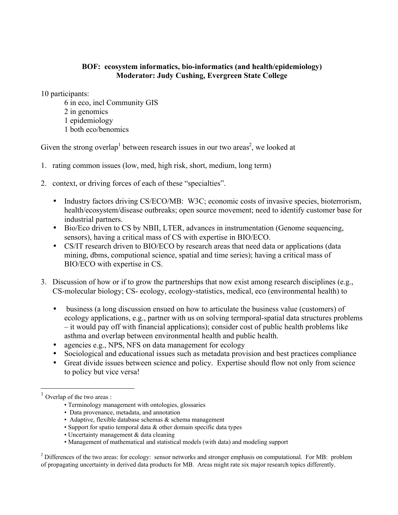## **BOF: ecosystem informatics, bio-informatics (and health/epidemiology) Moderator: Judy Cushing, Evergreen State College**

10 participants:

6 in eco, incl Community GIS 2 in genomics 1 epidemiology 1 both eco/benomics

Given the strong overlap<sup>1</sup> between research issues in our two areas<sup>2</sup>, we looked at

- 1. rating common issues (low, med, high risk, short, medium, long term)
- 2. context, or driving forces of each of these "specialties".
	- Industry factors driving CS/ECO/MB: W3C; economic costs of invasive species, bioterrorism, health/ecosystem/disease outbreaks; open source movement; need to identify customer base for industrial partners.
	- Bio/Eco driven to CS by NBII, LTER, advances in instrumentation (Genome sequencing, sensors), having a critical mass of CS with expertise in BIO/ECO.
	- CS/IT research driven to BIO/ECO by research areas that need data or applications (data mining, dbms, computional science, spatial and time series); having a critical mass of BIO/ECO with expertise in CS.
- 3. Discussion of how or if to grow the partnerships that now exist among research disciplines (e.g., CS-molecular biology; CS- ecology, ecology-statistics, medical, eco (environmental health) to
	- business (a long discussion ensued on how to articulate the business value (customers) of ecology applications, e.g., partner with us on solving termporal-spatial data structures problems – it would pay off with financial applications); consider cost of public health problems like asthma and overlap between environmental health and public health.
	- agencies e.g., NPS, NFS on data management for ecology
	- Sociological and educational issues such as metadata provision and best practices compliance
	- Great divide issues between science and policy. Expertise should flow not only from science to policy but vice versa!

- Terminology management with ontologies, glossaries
- Data provenance, metadata, and annotation
- Adaptive, flexible database schemas  $\&$  schema management
- Support for spatio temporal data & other domain specific data types
- Uncertainty management & data cleaning
- Management of mathematical and statistical models (with data) and modeling support

 $2^2$  Differences of the two areas: for ecology: sensor networks and stronger emphasis on computational. For MB: problem of propagating uncertainty in derived data products for MB. Areas might rate six major research topics differently.

 $1$  Overlap of the two areas :